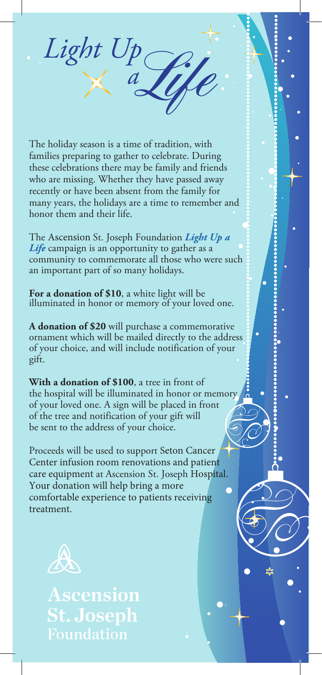The holiday season is a time of tradition, with families preparing to gather to celebrate. During these celebrations there may be family and friends who are missing. Whether they have passed away recently or have been absent from the family for many years, the holidays are a time to remember and honor them and their life.

Light Up

The Ascension St. Joseph Foundation *Light Up a Life* campaign is an opportunity to gather as a community to commemorate all those who were such an important part of so many holidays.

**For a donation of \$10**, a white light will be illuminated in honor or memory of your loved one.

**A donation of \$20** will purchase a commemorative ornament which will be mailed directly to the address of your choice, and will include notification of your gift.

**With a donation of \$100**, a tree in front of the hospital will be illuminated in honor or memory of your loved one. A sign will be placed in front of the tree and notification of your gift will be sent to the address of your choice.

Proceeds will be used to support Seton Cancer Center infusion room renovations and patient care equipment at Ascension St. Joseph Hospital. Your donation will help bring a more comfortable experience to patients receiving treatment.

X.



Ascension **St. Joseph** Foundation